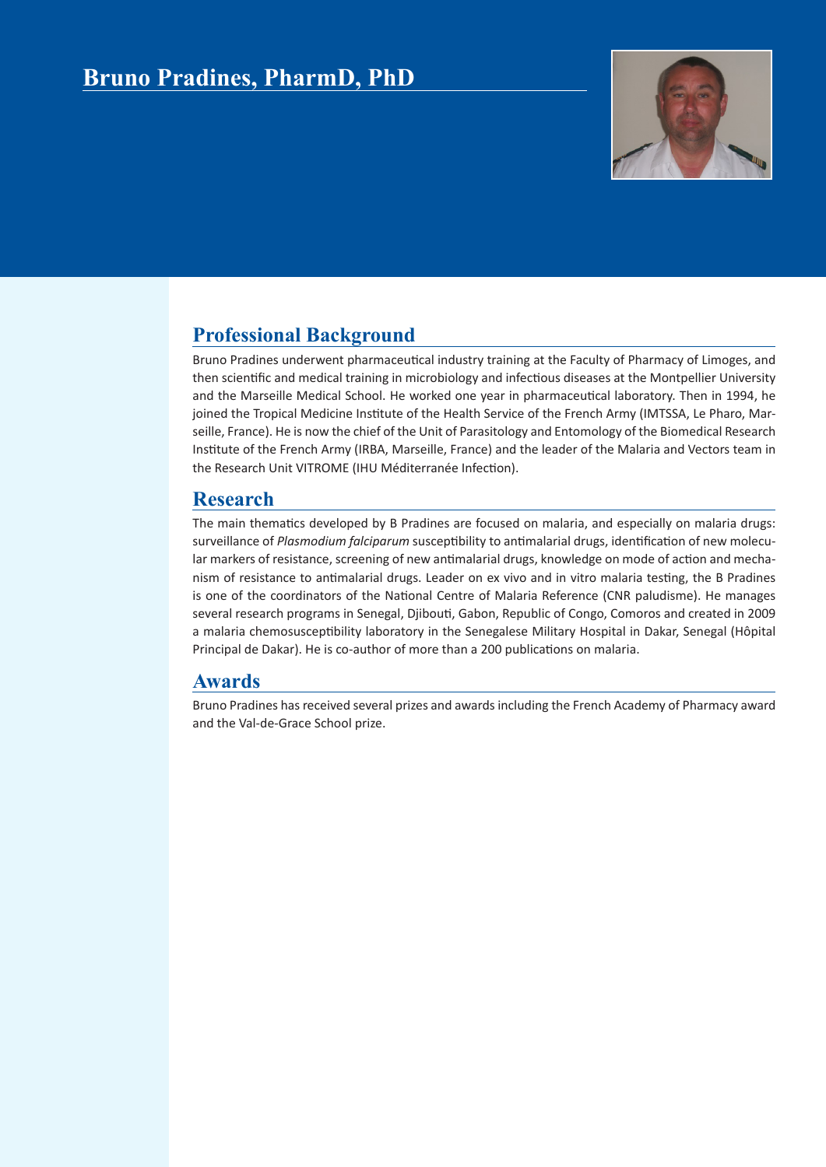

## **Professional Background**

Bruno Pradines underwent pharmaceutical industry training at the Faculty of Pharmacy of Limoges, and then scientific and medical training in microbiology and infectious diseases at the Montpellier University and the Marseille Medical School. He worked one year in pharmaceutical laboratory. Then in 1994, he joined the Tropical Medicine Institute of the Health Service of the French Army (IMTSSA, Le Pharo, Marseille, France). He is now the chief of the Unit of Parasitology and Entomology of the Biomedical Research Institute of the French Army (IRBA, Marseille, France) and the leader of the Malaria and Vectors team in the Research Unit VITROME (IHU Méditerranée Infection).

## **Research**

The main thematics developed by B Pradines are focused on malaria, and especially on malaria drugs: surveillance of *Plasmodium falciparum* susceptibility to antimalarial drugs, identification of new molecular markers of resistance, screening of new antimalarial drugs, knowledge on mode of action and mechanism of resistance to antimalarial drugs. Leader on ex vivo and in vitro malaria testing, the B Pradines is one of the coordinators of the National Centre of Malaria Reference (CNR paludisme). He manages several research programs in Senegal, Djibouti, Gabon, Republic of Congo, Comoros and created in 2009 a malaria chemosusceptibility laboratory in the Senegalese Military Hospital in Dakar, Senegal (Hôpital Principal de Dakar). He is co-author of more than a 200 publications on malaria.

## **Awards**

Bruno Pradines has received several prizes and awards including the French Academy of Pharmacy award and the Val-de-Grace School prize.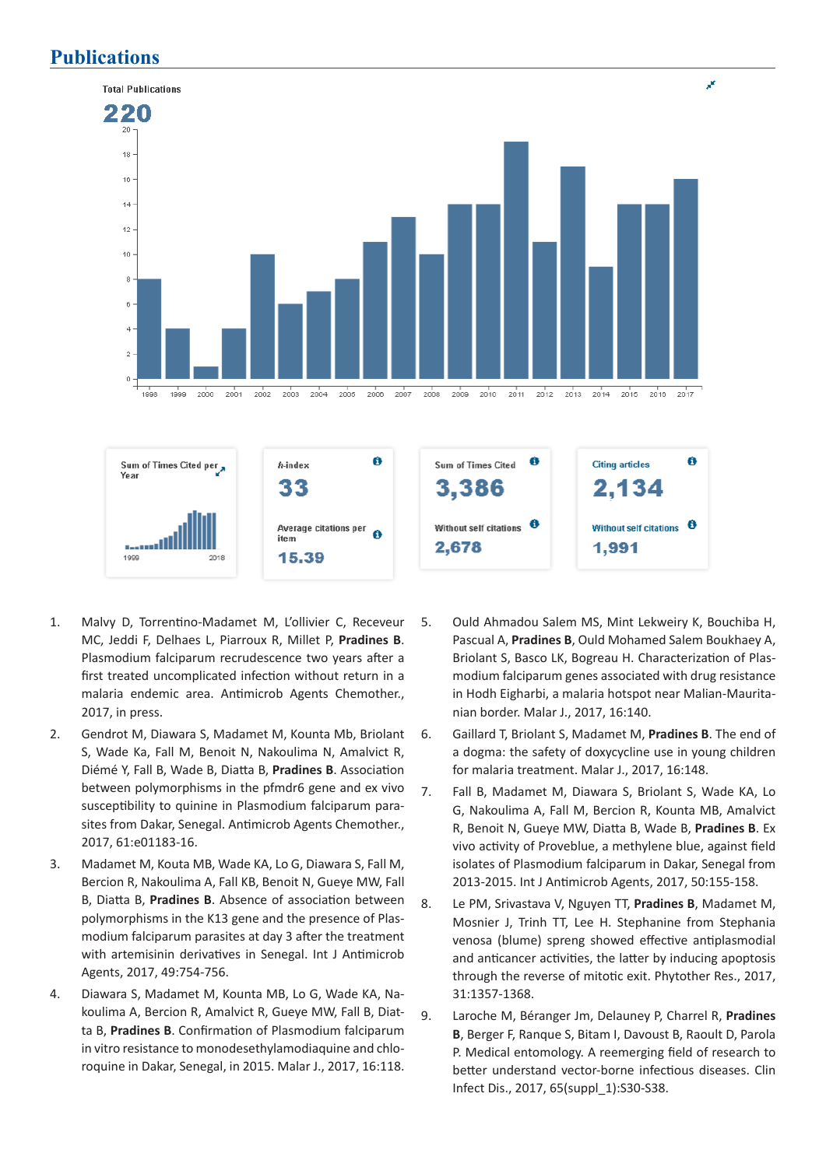## **Publications**



- 1. Malvy D, Torrentino-Madamet M, L'ollivier C, Receveur MC, Jeddi F, Delhaes L, Piarroux R, Millet P, **Pradines B**. Plasmodium falciparum recrudescence two years after a first treated uncomplicated infection without return in a malaria endemic area. Antimicrob Agents Chemother., 2017, in press.
- 2. Gendrot M, Diawara S, Madamet M, Kounta Mb, Briolant S, Wade Ka, Fall M, Benoit N, Nakoulima N, Amalvict R, Diémé Y, Fall B, Wade B, Diatta B, **Pradines B**. Association between polymorphisms in the pfmdr6 gene and ex vivo susceptibility to quinine in Plasmodium falciparum parasites from Dakar, Senegal. Antimicrob Agents Chemother., 2017, 61:e01183-16.
- 3. Madamet M, Kouta MB, Wade KA, Lo G, Diawara S, Fall M, Bercion R, Nakoulima A, Fall KB, Benoit N, Gueye MW, Fall B, Diatta B, **Pradines B**. Absence of association between polymorphisms in the K13 gene and the presence of Plasmodium falciparum parasites at day 3 after the treatment with artemisinin derivatives in Senegal. Int J Antimicrob Agents, 2017, 49:754-756.
- 4. Diawara S, Madamet M, Kounta MB, Lo G, Wade KA, Nakoulima A, Bercion R, Amalvict R, Gueye MW, Fall B, Diatta B, **Pradines B**. Confirmation of Plasmodium falciparum in vitro resistance to monodesethylamodiaquine and chloroquine in Dakar, Senegal, in 2015. Malar J., 2017, 16:118.
- 5. Ould Ahmadou Salem MS, Mint Lekweiry K, Bouchiba H, Pascual A, **Pradines B**, Ould Mohamed Salem Boukhaey A, Briolant S, Basco LK, Bogreau H. Characterization of Plasmodium falciparum genes associated with drug resistance in Hodh Eigharbi, a malaria hotspot near Malian-Mauritanian border. Malar J., 2017, 16:140.
- 6. Gaillard T, Briolant S, Madamet M, **Pradines B**. The end of a dogma: the safety of doxycycline use in young children for malaria treatment. Malar J., 2017, 16:148.
- 7. Fall B, Madamet M, Diawara S, Briolant S, Wade KA, Lo G, Nakoulima A, Fall M, Bercion R, Kounta MB, Amalvict R, Benoit N, Gueye MW, Diatta B, Wade B, **Pradines B**. Ex vivo activity of Proveblue, a methylene blue, against field isolates of Plasmodium falciparum in Dakar, Senegal from 2013-2015. Int J Antimicrob Agents, 2017, 50:155-158.
- 8. Le PM, Srivastava V, Nguyen TT, **Pradines B**, Madamet M, Mosnier J, Trinh TT, Lee H. Stephanine from Stephania venosa (blume) spreng showed effective antiplasmodial and anticancer activities, the latter by inducing apoptosis through the reverse of mitotic exit. Phytother Res., 2017, 31:1357-1368.
- 9. Laroche M, Béranger Jm, Delauney P, Charrel R, **Pradines B**, Berger F, Ranque S, Bitam I, Davoust B, Raoult D, Parola P. Medical entomology. A reemerging field of research to better understand vector-borne infectious diseases. Clin Infect Dis., 2017, 65(suppl\_1):S30-S38.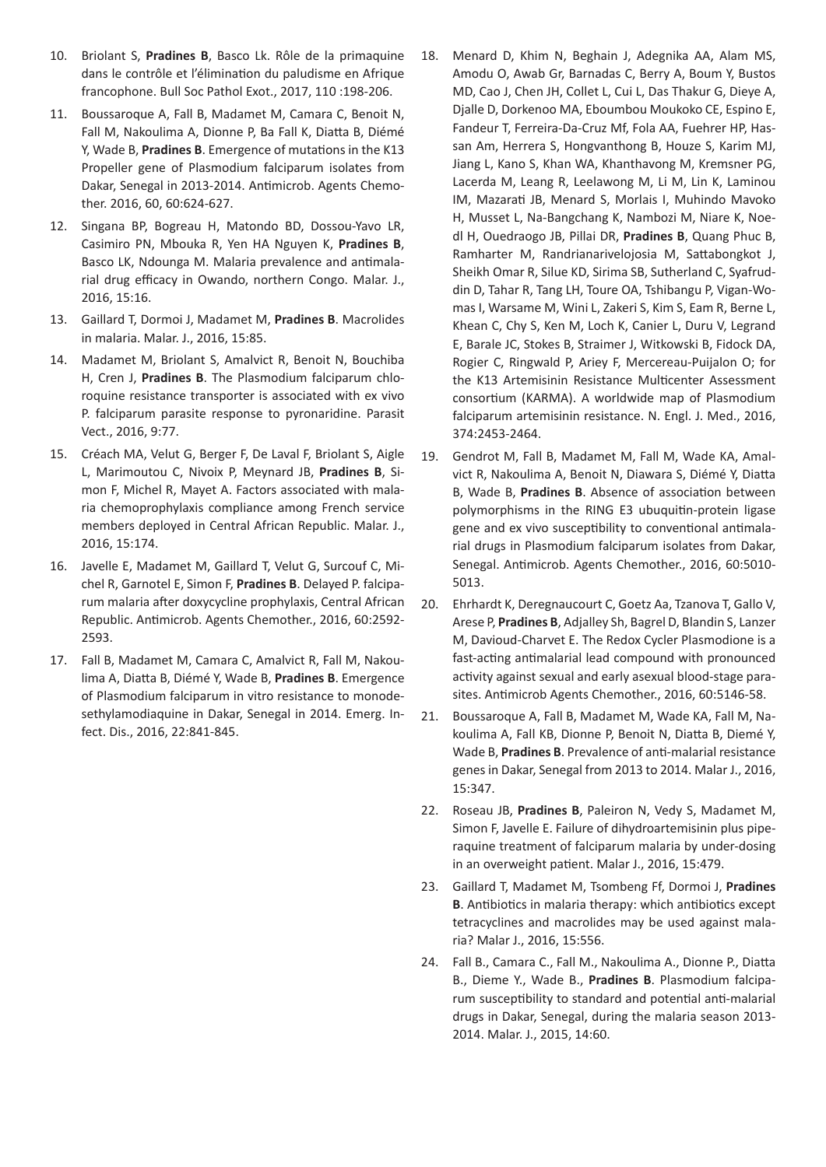- 10. Briolant S, **Pradines B**, Basco Lk. Rôle de la primaquine dans le contrôle et l'élimination du paludisme en Afrique francophone. Bull Soc Pathol Exot., 2017, 110 :198-206.
- 11. Boussaroque A, Fall B, Madamet M, Camara C, Benoit N, Fall M, Nakoulima A, Dionne P, Ba Fall K, Diatta B, Diémé Y, Wade B, **Pradines B**. Emergence of mutations in the K13 Propeller gene of Plasmodium falciparum isolates from Dakar, Senegal in 2013-2014. Antimicrob. Agents Chemother. 2016, 60, 60:624-627.
- 12. Singana BP, Bogreau H, Matondo BD, Dossou-Yavo LR, Casimiro PN, Mbouka R, Yen HA Nguyen K, **Pradines B**, Basco LK, Ndounga M. Malaria prevalence and antimalarial drug efficacy in Owando, northern Congo. Malar. J., 2016, 15:16.
- 13. Gaillard T, Dormoi J, Madamet M, **Pradines B**. Macrolides in malaria. Malar. J., 2016, 15:85.
- 14. Madamet M, Briolant S, Amalvict R, Benoit N, Bouchiba H, Cren J, **Pradines B**. The Plasmodium falciparum chloroquine resistance transporter is associated with ex vivo P. falciparum parasite response to pyronaridine. Parasit Vect., 2016, 9:77.
- 15. Créach MA, Velut G, Berger F, De Laval F, Briolant S, Aigle L, Marimoutou C, Nivoix P, Meynard JB, **Pradines B**, Simon F, Michel R, Mayet A. Factors associated with malaria chemoprophylaxis compliance among French service members deployed in Central African Republic. Malar. J., 2016, 15:174.
- 16. Javelle E, Madamet M, Gaillard T, Velut G, Surcouf C, Michel R, Garnotel E, Simon F, **Pradines B**. Delayed P. falciparum malaria after doxycycline prophylaxis, Central African Republic. Antimicrob. Agents Chemother., 2016, 60:2592- 2593.
- 17. Fall B, Madamet M, Camara C, Amalvict R, Fall M, Nakoulima A, Diatta B, Diémé Y, Wade B, **Pradines B**. Emergence of Plasmodium falciparum in vitro resistance to monodesethylamodiaquine in Dakar, Senegal in 2014. Emerg. Infect. Dis., 2016, 22:841-845.
- 18. Menard D, Khim N, Beghain J, Adegnika AA, Alam MS, Amodu O, Awab Gr, Barnadas C, Berry A, Boum Y, Bustos MD, Cao J, Chen JH, Collet L, Cui L, Das Thakur G, Dieye A, Djalle D, Dorkenoo MA, Eboumbou Moukoko CE, Espino E, Fandeur T, Ferreira-Da-Cruz Mf, Fola AA, Fuehrer HP, Hassan Am, Herrera S, Hongvanthong B, Houze S, Karim MJ, Jiang L, Kano S, Khan WA, Khanthavong M, Kremsner PG, Lacerda M, Leang R, Leelawong M, Li M, Lin K, Laminou IM, Mazarati JB, Menard S, Morlais I, Muhindo Mavoko H, Musset L, Na-Bangchang K, Nambozi M, Niare K, Noedl H, Ouedraogo JB, Pillai DR, **Pradines B**, Quang Phuc B, Ramharter M, Randrianarivelojosia M, Sattabongkot J, Sheikh Omar R, Silue KD, Sirima SB, Sutherland C, Syafruddin D, Tahar R, Tang LH, Toure OA, Tshibangu P, Vigan-Womas I, Warsame M, Wini L, Zakeri S, Kim S, Eam R, Berne L, Khean C, Chy S, Ken M, Loch K, Canier L, Duru V, Legrand E, Barale JC, Stokes B, Straimer J, Witkowski B, Fidock DA, Rogier C, Ringwald P, Ariey F, Mercereau-Puijalon O; for the K13 Artemisinin Resistance Multicenter Assessment consortium (KARMA). A worldwide map of Plasmodium falciparum artemisinin resistance. N. Engl. J. Med., 2016, 374:2453-2464.
- 19. Gendrot M, Fall B, Madamet M, Fall M, Wade KA, Amalvict R, Nakoulima A, Benoit N, Diawara S, Diémé Y, Diatta B, Wade B, **Pradines B**. Absence of association between polymorphisms in the RING E3 ubuquitin-protein ligase gene and ex vivo susceptibility to conventional antimalarial drugs in Plasmodium falciparum isolates from Dakar, Senegal. Antimicrob. Agents Chemother., 2016, 60:5010- 5013.
- 20. Ehrhardt K, Deregnaucourt C, Goetz Aa, Tzanova T, Gallo V, Arese P, **Pradines B**, Adjalley Sh, Bagrel D, Blandin S, Lanzer M, Davioud-Charvet E. The Redox Cycler Plasmodione is a fast-acting antimalarial lead compound with pronounced activity against sexual and early asexual blood-stage parasites. Antimicrob Agents Chemother., 2016, 60:5146-58.
- 21. Boussaroque A, Fall B, Madamet M, Wade KA, Fall M, Nakoulima A, Fall KB, Dionne P, Benoit N, Diatta B, Diemé Y, Wade B, **Pradines B**. Prevalence of anti-malarial resistance genes in Dakar, Senegal from 2013 to 2014. Malar J., 2016, 15:347.
- 22. Roseau JB, **Pradines B**, Paleiron N, Vedy S, Madamet M, Simon F, Javelle E. Failure of dihydroartemisinin plus piperaquine treatment of falciparum malaria by under-dosing in an overweight patient. Malar J., 2016, 15:479.
- 23. Gaillard T, Madamet M, Tsombeng Ff, Dormoi J, **Pradines B**. Antibiotics in malaria therapy: which antibiotics except tetracyclines and macrolides may be used against malaria? Malar J., 2016, 15:556.
- 24. Fall B., Camara C., Fall M., Nakoulima A., Dionne P., Diatta B., Dieme Y., Wade B., **Pradines B**. Plasmodium falciparum susceptibility to standard and potential anti-malarial drugs in Dakar, Senegal, during the malaria season 2013- 2014. Malar. J., 2015, 14:60.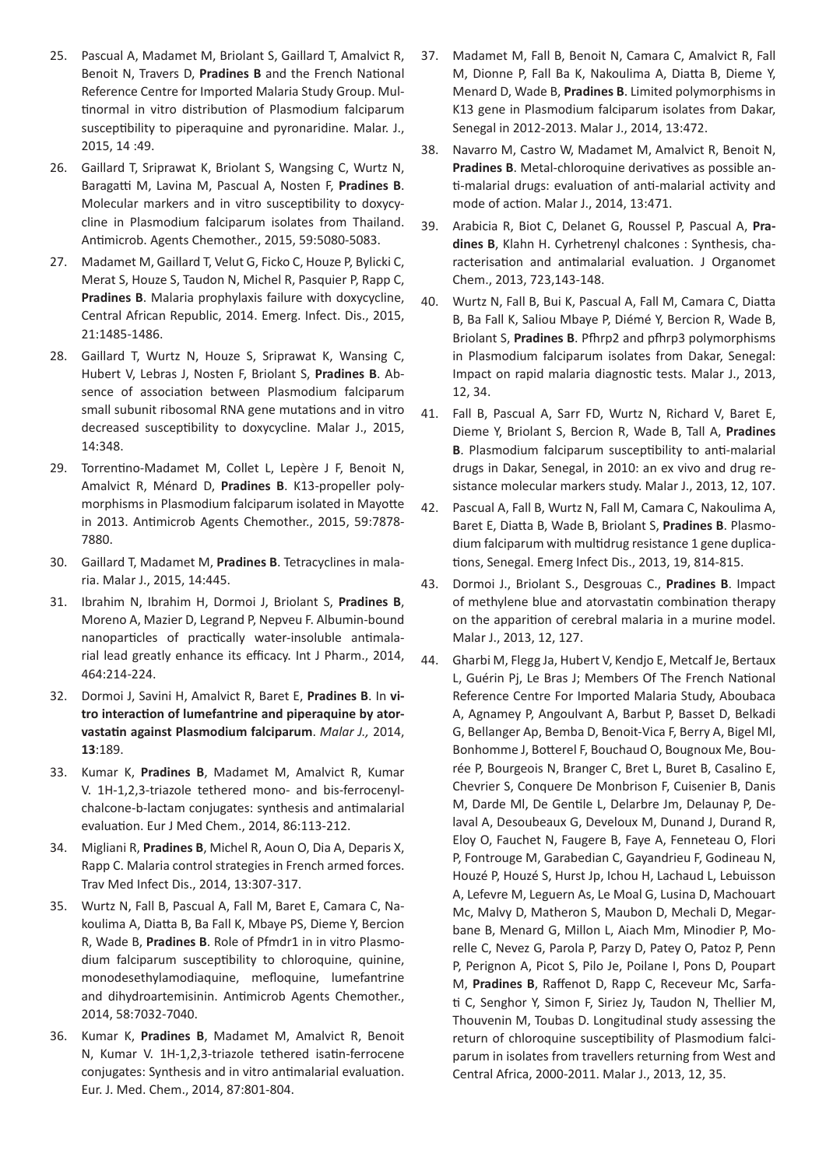- 25. Pascual A, Madamet M, Briolant S, Gaillard T, Amalvict R, Benoit N, Travers D, **Pradines B** and the French National Reference Centre for Imported Malaria Study Group. Multinormal in vitro distribution of Plasmodium falciparum susceptibility to piperaquine and pyronaridine. Malar. J., 2015, 14 :49.
- 26. Gaillard T, Sriprawat K, Briolant S, Wangsing C, Wurtz N, Baragatti M, Lavina M, Pascual A, Nosten F, **Pradines B**. Molecular markers and in vitro susceptibility to doxycycline in Plasmodium falciparum isolates from Thailand. Antimicrob. Agents Chemother., 2015, 59:5080-5083.
- 27. Madamet M, Gaillard T, Velut G, Ficko C, Houze P, Bylicki C, Merat S, Houze S, Taudon N, Michel R, Pasquier P, Rapp C, **Pradines B**. Malaria prophylaxis failure with doxycycline, Central African Republic, 2014. Emerg. Infect. Dis., 2015, 21:1485-1486.
- 28. Gaillard T, Wurtz N, Houze S, Sriprawat K, Wansing C, Hubert V, Lebras J, Nosten F, Briolant S, **Pradines B**. Absence of association between Plasmodium falciparum small subunit ribosomal RNA gene mutations and in vitro decreased susceptibility to doxycycline. Malar J., 2015, 14:348.
- 29. Torrentino-Madamet M, Collet L, Lepère J F, Benoit N, Amalvict R, Ménard D, **Pradines B**. K13-propeller polymorphisms in Plasmodium falciparum isolated in Mayotte in 2013. Antimicrob Agents Chemother., 2015, 59:7878- 7880.
- 30. Gaillard T, Madamet M, **Pradines B**. Tetracyclines in malaria. Malar J., 2015, 14:445.
- 31. Ibrahim N, Ibrahim H, Dormoi J, Briolant S, **Pradines B**, Moreno A, Mazier D, Legrand P, Nepveu F. Albumin-bound nanoparticles of practically water-insoluble antimalarial lead greatly enhance its efficacy. Int J Pharm., 2014, 464:214-224.
- 32. Dormoi J, Savini H, Amalvict R, Baret E, **Pradines B**. In **vitro interaction of lumefantrine and piperaquine by atorvastatin against Plasmodium falciparum**. *Malar J.,* 2014, **13**:189.
- 33. Kumar K, **Pradines B**, Madamet M, Amalvict R, Kumar V. 1H-1,2,3-triazole tethered mono- and bis-ferrocenylchalcone-b-lactam conjugates: synthesis and antimalarial evaluation. Eur J Med Chem., 2014, 86:113-212.
- 34. Migliani R, **Pradines B**, Michel R, Aoun O, Dia A, Deparis X, Rapp C. Malaria control strategies in French armed forces. Trav Med Infect Dis., 2014, 13:307-317.
- 35. Wurtz N, Fall B, Pascual A, Fall M, Baret E, Camara C, Nakoulima A, Diatta B, Ba Fall K, Mbaye PS, Dieme Y, Bercion R, Wade B, **Pradines B**. Role of Pfmdr1 in in vitro Plasmodium falciparum susceptibility to chloroquine, quinine, monodesethylamodiaquine, mefloquine, lumefantrine and dihydroartemisinin. Antimicrob Agents Chemother., 2014, 58:7032-7040.
- 36. Kumar K, **Pradines B**, Madamet M, Amalvict R, Benoit N, Kumar V. 1H-1,2,3-triazole tethered isatin-ferrocene conjugates: Synthesis and in vitro antimalarial evaluation. Eur. J. Med. Chem., 2014, 87:801-804.
- 37. Madamet M, Fall B, Benoit N, Camara C, Amalvict R, Fall M, Dionne P, Fall Ba K, Nakoulima A, Diatta B, Dieme Y, Menard D, Wade B, **Pradines B**. Limited polymorphisms in K13 gene in Plasmodium falciparum isolates from Dakar, Senegal in 2012-2013. Malar J., 2014, 13:472.
- 38. Navarro M, Castro W, Madamet M, Amalvict R, Benoit N, **Pradines B**. Metal-chloroquine derivatives as possible anti-malarial drugs: evaluation of anti-malarial activity and mode of action. Malar J., 2014, 13:471.
- 39. Arabicia R, Biot C, Delanet G, Roussel P, Pascual A, **Pradines B**, Klahn H. Cyrhetrenyl chalcones : Synthesis, characterisation and antimalarial evaluation. J Organomet Chem., 2013, 723,143-148.
- 40. Wurtz N, Fall B, Bui K, Pascual A, Fall M, Camara C, Diatta B, Ba Fall K, Saliou Mbaye P, Diémé Y, Bercion R, Wade B, Briolant S, **Pradines B**. Pfhrp2 and pfhrp3 polymorphisms in Plasmodium falciparum isolates from Dakar, Senegal: Impact on rapid malaria diagnostic tests. Malar J., 2013, 12, 34.
- 41. Fall B, Pascual A, Sarr FD, Wurtz N, Richard V, Baret E, Dieme Y, Briolant S, Bercion R, Wade B, Tall A, **Pradines B**. Plasmodium falciparum susceptibility to anti-malarial drugs in Dakar, Senegal, in 2010: an ex vivo and drug resistance molecular markers study. Malar J., 2013, 12, 107.
- 42. Pascual A, Fall B, Wurtz N, Fall M, Camara C, Nakoulima A, Baret E, Diatta B, Wade B, Briolant S, **Pradines B**. Plasmodium falciparum with multidrug resistance 1 gene duplications, Senegal. Emerg Infect Dis., 2013, 19, 814-815.
- 43. Dormoi J., Briolant S., Desgrouas C., **Pradines B**. Impact of methylene blue and atorvastatin combination therapy on the apparition of cerebral malaria in a murine model. Malar J., 2013, 12, 127.
- 44. Gharbi M, Flegg Ja, Hubert V, Kendjo E, Metcalf Je, Bertaux L, Guérin Pj, Le Bras J; Members Of The French National Reference Centre For Imported Malaria Study, Aboubaca A, Agnamey P, Angoulvant A, Barbut P, Basset D, Belkadi G, Bellanger Ap, Bemba D, Benoit-Vica F, Berry A, Bigel Ml, Bonhomme J, Botterel F, Bouchaud O, Bougnoux Me, Bourée P, Bourgeois N, Branger C, Bret L, Buret B, Casalino E, Chevrier S, Conquere De Monbrison F, Cuisenier B, Danis M, Darde Ml, De Gentile L, Delarbre Jm, Delaunay P, Delaval A, Desoubeaux G, Develoux M, Dunand J, Durand R, Eloy O, Fauchet N, Faugere B, Faye A, Fenneteau O, Flori P, Fontrouge M, Garabedian C, Gayandrieu F, Godineau N, Houzé P, Houzé S, Hurst Jp, Ichou H, Lachaud L, Lebuisson A, Lefevre M, Leguern As, Le Moal G, Lusina D, Machouart Mc, Malvy D, Matheron S, Maubon D, Mechali D, Megarbane B, Menard G, Millon L, Aiach Mm, Minodier P, Morelle C, Nevez G, Parola P, Parzy D, Patey O, Patoz P, Penn P, Perignon A, Picot S, Pilo Je, Poilane I, Pons D, Poupart M, **Pradines B**, Raffenot D, Rapp C, Receveur Mc, Sarfati C, Senghor Y, Simon F, Siriez Jy, Taudon N, Thellier M, Thouvenin M, Toubas D. Longitudinal study assessing the return of chloroquine susceptibility of Plasmodium falciparum in isolates from travellers returning from West and Central Africa, 2000-2011. Malar J., 2013, 12, 35.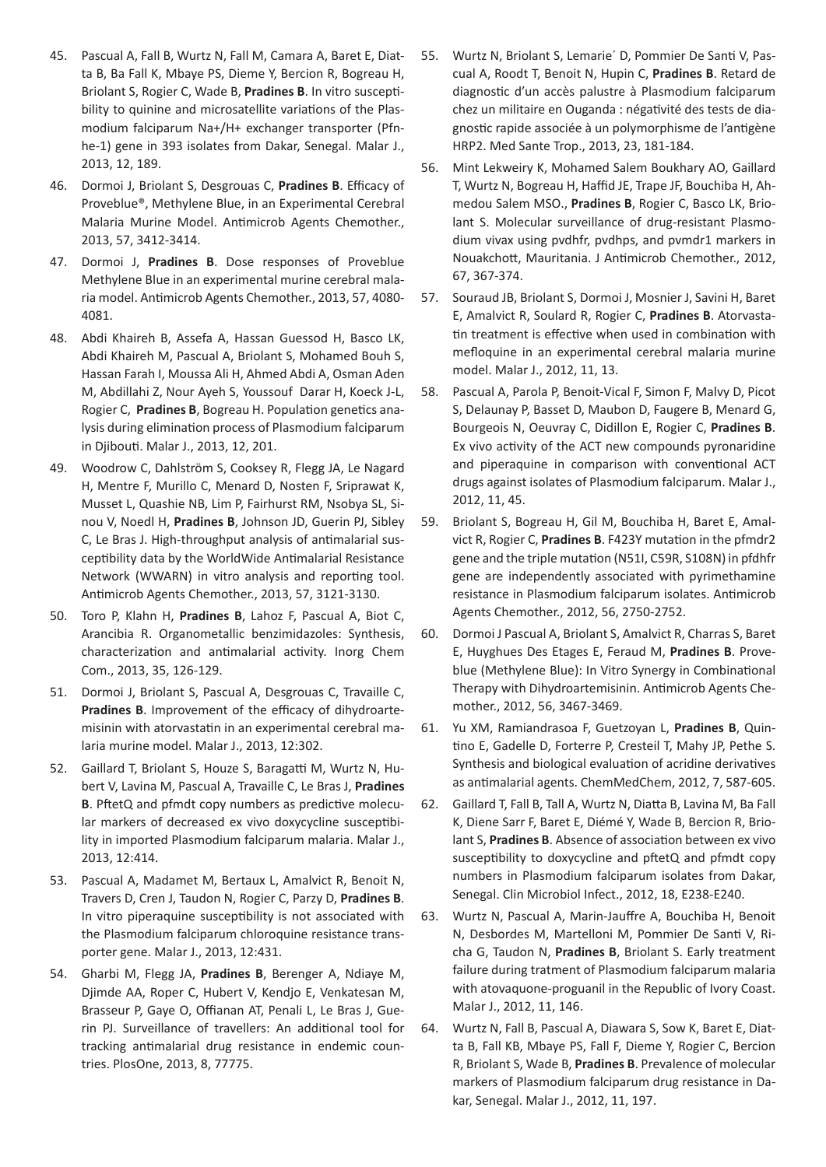- 45. Pascual A, Fall B, Wurtz N, Fall M, Camara A, Baret E, Diatta B, Ba Fall K, Mbaye PS, Dieme Y, Bercion R, Bogreau H, Briolant S, Rogier C, Wade B, **Pradines B**. In vitro susceptibility to quinine and microsatellite variations of the Plasmodium falciparum Na+/H+ exchanger transporter (Pfnhe-1) gene in 393 isolates from Dakar, Senegal. Malar J., 2013, 12, 189.
- 46. Dormoi J, Briolant S, Desgrouas C, **Pradines B**. Efficacy of Proveblue®, Methylene Blue, in an Experimental Cerebral Malaria Murine Model. Antimicrob Agents Chemother., 2013, 57, 3412-3414.
- 47. Dormoi J, **Pradines B**. Dose responses of Proveblue Methylene Blue in an experimental murine cerebral malaria model. Antimicrob Agents Chemother., 2013, 57, 4080- 4081.
- 48. Abdi Khaireh B, Assefa A, Hassan Guessod H, Basco LK, Abdi Khaireh M, Pascual A, Briolant S, Mohamed Bouh S, Hassan Farah I, Moussa Ali H, Ahmed Abdi A, Osman Aden M, Abdillahi Z, Nour Ayeh S, Youssouf Darar H, Koeck J-L, Rogier C, **Pradines B**, Bogreau H. Population genetics analysis during elimination process of Plasmodium falciparum in Djibouti. Malar J., 2013, 12, 201.
- 49. Woodrow C, Dahlström S, Cooksey R, Flegg JA, Le Nagard H, Mentre F, Murillo C, Menard D, Nosten F, Sriprawat K, Musset L, Quashie NB, Lim P, Fairhurst RM, Nsobya SL, Sinou V, Noedl H, **Pradines B**, Johnson JD, Guerin PJ, Sibley C, Le Bras J. High-throughput analysis of antimalarial susceptibility data by the WorldWide Antimalarial Resistance Network (WWARN) in vitro analysis and reporting tool. Antimicrob Agents Chemother., 2013, 57, 3121-3130.
- 50. Toro P, Klahn H, **Pradines B**, Lahoz F, Pascual A, Biot C, Arancibia R. Organometallic benzimidazoles: Synthesis, characterization and antimalarial activity. Inorg Chem Com., 2013, 35, 126-129.
- 51. Dormoi J, Briolant S, Pascual A, Desgrouas C, Travaille C, **Pradines B**. Improvement of the efficacy of dihydroartemisinin with atorvastatin in an experimental cerebral malaria murine model. Malar J., 2013, 12:302.
- 52. Gaillard T, Briolant S, Houze S, Baragatti M, Wurtz N, Hubert V, Lavina M, Pascual A, Travaille C, Le Bras J, **Pradines B**. PftetQ and pfmdt copy numbers as predictive molecular markers of decreased ex vivo doxycycline susceptibility in imported Plasmodium falciparum malaria. Malar J., 2013, 12:414.
- 53. Pascual A, Madamet M, Bertaux L, Amalvict R, Benoit N, Travers D, Cren J, Taudon N, Rogier C, Parzy D, **Pradines B**. In vitro piperaquine susceptibility is not associated with the Plasmodium falciparum chloroquine resistance transporter gene. Malar J., 2013, 12:431.
- 54. Gharbi M, Flegg JA, **Pradines B**, Berenger A, Ndiaye M, Djimde AA, Roper C, Hubert V, Kendjo E, Venkatesan M, Brasseur P, Gaye O, Offianan AT, Penali L, Le Bras J, Guerin PJ. Surveillance of travellers: An additional tool for tracking antimalarial drug resistance in endemic countries. PlosOne, 2013, 8, 77775.
- 55. Wurtz N, Briolant S, Lemarie´ D, Pommier De Santi V, Pascual A, Roodt T, Benoit N, Hupin C, **Pradines B**. Retard de diagnostic d'un accès palustre à Plasmodium falciparum chez un militaire en Ouganda : négativité des tests de diagnostic rapide associée à un polymorphisme de l'antigène HRP2. Med Sante Trop., 2013, 23, 181-184.
- 56. Mint Lekweiry K, Mohamed Salem Boukhary AO, Gaillard T, Wurtz N, Bogreau H, Haffid JE, Trape JF, Bouchiba H, Ahmedou Salem MSO., **Pradines B**, Rogier C, Basco LK, Briolant S. Molecular surveillance of drug-resistant Plasmodium vivax using pvdhfr, pvdhps, and pvmdr1 markers in Nouakchott, Mauritania. J Antimicrob Chemother., 2012, 67, 367-374.
- 57. Souraud JB, Briolant S, Dormoi J, Mosnier J, Savini H, Baret E, Amalvict R, Soulard R, Rogier C, **Pradines B**. Atorvastatin treatment is effective when used in combination with mefloquine in an experimental cerebral malaria murine model. Malar J., 2012, 11, 13.
- 58. Pascual A, Parola P, Benoit-Vical F, Simon F, Malvy D, Picot S, Delaunay P, Basset D, Maubon D, Faugere B, Menard G, Bourgeois N, Oeuvray C, Didillon E, Rogier C, **Pradines B**. Ex vivo activity of the ACT new compounds pyronaridine and piperaquine in comparison with conventional ACT drugs against isolates of Plasmodium falciparum. Malar J., 2012, 11, 45.
- 59. Briolant S, Bogreau H, Gil M, Bouchiba H, Baret E, Amalvict R, Rogier C, **Pradines B**. F423Y mutation in the pfmdr2 gene and the triple mutation (N51I, C59R, S108N) in pfdhfr gene are independently associated with pyrimethamine resistance in Plasmodium falciparum isolates. Antimicrob Agents Chemother., 2012, 56, 2750-2752.
- 60. Dormoi J Pascual A, Briolant S, Amalvict R, Charras S, Baret E, Huyghues Des Etages E, Feraud M, **Pradines B**. Proveblue (Methylene Blue): In Vitro Synergy in Combinational Therapy with Dihydroartemisinin. Antimicrob Agents Chemother., 2012, 56, 3467-3469.
- 61. Yu XM, Ramiandrasoa F, Guetzoyan L, **Pradines B**, Quintino E, Gadelle D, Forterre P, Cresteil T, Mahy JP, Pethe S. Synthesis and biological evaluation of acridine derivatives as antimalarial agents. ChemMedChem, 2012, 7, 587-605.
- 62. Gaillard T, Fall B, Tall A, Wurtz N, Diatta B, Lavina M, Ba Fall K, Diene Sarr F, Baret E, Diémé Y, Wade B, Bercion R, Briolant S, **Pradines B**. Absence of association between ex vivo susceptibility to doxycycline and pftetQ and pfmdt copy numbers in Plasmodium falciparum isolates from Dakar, Senegal. Clin Microbiol Infect., 2012, 18, E238-E240.
- 63. Wurtz N, Pascual A, Marin-Jauffre A, Bouchiba H, Benoit N, Desbordes M, Martelloni M, Pommier De Santi V, Richa G, Taudon N, **Pradines B**, Briolant S. Early treatment failure during tratment of Plasmodium falciparum malaria with atovaquone-proguanil in the Republic of Ivory Coast. Malar J., 2012, 11, 146.
- 64. Wurtz N, Fall B, Pascual A, Diawara S, Sow K, Baret E, Diatta B, Fall KB, Mbaye PS, Fall F, Dieme Y, Rogier C, Bercion R, Briolant S, Wade B, **Pradines B**. Prevalence of molecular markers of Plasmodium falciparum drug resistance in Dakar, Senegal. Malar J., 2012, 11, 197.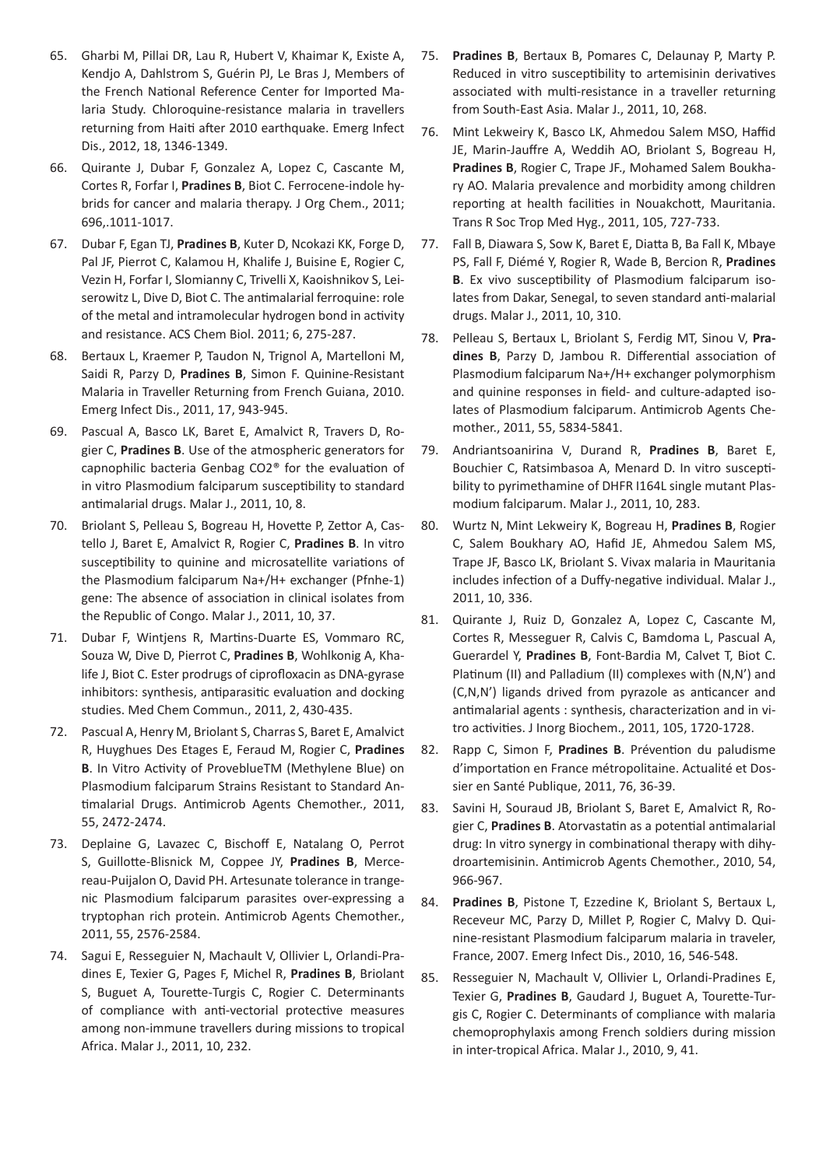- 65. Gharbi M, Pillai DR, Lau R, Hubert V, Khaimar K, Existe A, Kendjo A, Dahlstrom S, Guérin PJ, Le Bras J, Members of the French National Reference Center for Imported Malaria Study. Chloroquine-resistance malaria in travellers returning from Haiti after 2010 earthquake. Emerg Infect Dis., 2012, 18, 1346-1349.
- 66. Quirante J, Dubar F, Gonzalez A, Lopez C, Cascante M, Cortes R, Forfar I, **Pradines B**, Biot C. Ferrocene-indole hybrids for cancer and malaria therapy. J Org Chem., 2011; 696,.1011-1017.
- 67. Dubar F, Egan TJ, **Pradines B**, Kuter D, Ncokazi KK, Forge D, Pal JF, Pierrot C, Kalamou H, Khalife J, Buisine E, Rogier C, Vezin H, Forfar I, Slomianny C, Trivelli X, Kaoishnikov S, Leiserowitz L, Dive D, Biot C. The antimalarial ferroquine: role of the metal and intramolecular hydrogen bond in activity and resistance. ACS Chem Biol. 2011; 6, 275-287.
- 68. Bertaux L, Kraemer P, Taudon N, Trignol A, Martelloni M, Saidi R, Parzy D, **Pradines B**, Simon F. Quinine-Resistant Malaria in Traveller Returning from French Guiana, 2010. Emerg Infect Dis., 2011, 17, 943-945.
- 69. Pascual A, Basco LK, Baret E, Amalvict R, Travers D, Rogier C, **Pradines B**. Use of the atmospheric generators for capnophilic bacteria Genbag CO2® for the evaluation of in vitro Plasmodium falciparum susceptibility to standard antimalarial drugs. Malar J., 2011, 10, 8.
- 70. Briolant S, Pelleau S, Bogreau H, Hovette P, Zettor A, Castello J, Baret E, Amalvict R, Rogier C, **Pradines B**. In vitro susceptibility to quinine and microsatellite variations of the Plasmodium falciparum Na+/H+ exchanger (Pfnhe-1) gene: The absence of association in clinical isolates from the Republic of Congo. Malar J., 2011, 10, 37.
- 71. Dubar F, Wintjens R, Martins-Duarte ES, Vommaro RC, Souza W, Dive D, Pierrot C, **Pradines B**, Wohlkonig A, Khalife J, Biot C. Ester prodrugs of ciprofloxacin as DNA-gyrase inhibitors: synthesis, antiparasitic evaluation and docking studies. Med Chem Commun., 2011, 2, 430-435.
- 72. Pascual A, Henry M, Briolant S, Charras S, Baret E, Amalvict R, Huyghues Des Etages E, Feraud M, Rogier C, **Pradines B**. In Vitro Activity of ProveblueTM (Methylene Blue) on Plasmodium falciparum Strains Resistant to Standard Antimalarial Drugs. Antimicrob Agents Chemother., 2011, 55, 2472-2474.
- 73. Deplaine G, Lavazec C, Bischoff E, Natalang O, Perrot S, Guillotte-Blisnick M, Coppee JY, **Pradines B**, Mercereau-Puijalon O, David PH. Artesunate tolerance in trangenic Plasmodium falciparum parasites over-expressing a tryptophan rich protein. Antimicrob Agents Chemother., 2011, 55, 2576-2584.
- 74. Sagui E, Resseguier N, Machault V, Ollivier L, Orlandi-Pradines E, Texier G, Pages F, Michel R, **Pradines B**, Briolant S, Buguet A, Tourette-Turgis C, Rogier C. Determinants of compliance with anti-vectorial protective measures among non-immune travellers during missions to tropical Africa. Malar J., 2011, 10, 232.
- 75. **Pradines B**, Bertaux B, Pomares C, Delaunay P, Marty P. Reduced in vitro susceptibility to artemisinin derivatives associated with multi-resistance in a traveller returning from South-East Asia. Malar J., 2011, 10, 268.
- 76. Mint Lekweiry K, Basco LK, Ahmedou Salem MSO, Haffid JE, Marin-Jauffre A, Weddih AO, Briolant S, Bogreau H, **Pradines B**, Rogier C, Trape JF., Mohamed Salem Boukhary AO. Malaria prevalence and morbidity among children reporting at health facilities in Nouakchott, Mauritania. Trans R Soc Trop Med Hyg., 2011, 105, 727-733.
- 77. Fall B, Diawara S, Sow K, Baret E, Diatta B, Ba Fall K, Mbaye PS, Fall F, Diémé Y, Rogier R, Wade B, Bercion R, **Pradines B**. Ex vivo susceptibility of Plasmodium falciparum isolates from Dakar, Senegal, to seven standard anti-malarial drugs. Malar J., 2011, 10, 310.
- 78. Pelleau S, Bertaux L, Briolant S, Ferdig MT, Sinou V, **Pradines B**, Parzy D, Jambou R. Differential association of Plasmodium falciparum Na+/H+ exchanger polymorphism and quinine responses in field- and culture-adapted isolates of Plasmodium falciparum. Antimicrob Agents Chemother., 2011, 55, 5834-5841.
- 79. Andriantsoanirina V, Durand R, **Pradines B**, Baret E, Bouchier C, Ratsimbasoa A, Menard D. In vitro susceptibility to pyrimethamine of DHFR I164L single mutant Plasmodium falciparum. Malar J., 2011, 10, 283.
- 80. Wurtz N, Mint Lekweiry K, Bogreau H, **Pradines B**, Rogier C, Salem Boukhary AO, Hafid JE, Ahmedou Salem MS, Trape JF, Basco LK, Briolant S. Vivax malaria in Mauritania includes infection of a Duffy-negative individual. Malar J., 2011, 10, 336.
- 81. Quirante J, Ruiz D, Gonzalez A, Lopez C, Cascante M, Cortes R, Messeguer R, Calvis C, Bamdoma L, Pascual A, Guerardel Y, **Pradines B**, Font-Bardia M, Calvet T, Biot C. Platinum (II) and Palladium (II) complexes with (N,N') and (C,N,N') ligands drived from pyrazole as anticancer and antimalarial agents : synthesis, characterization and in vitro activities. J Inorg Biochem., 2011, 105, 1720-1728.
- 82. Rapp C, Simon F, **Pradines B**. Prévention du paludisme d'importation en France métropolitaine. Actualité et Dossier en Santé Publique, 2011, 76, 36-39.
- 83. Savini H, Souraud JB, Briolant S, Baret E, Amalvict R, Rogier C, **Pradines B**. Atorvastatin as a potential antimalarial drug: In vitro synergy in combinational therapy with dihydroartemisinin. Antimicrob Agents Chemother., 2010, 54, 966-967.
- 84. **Pradines B**, Pistone T, Ezzedine K, Briolant S, Bertaux L, Receveur MC, Parzy D, Millet P, Rogier C, Malvy D. Quinine-resistant Plasmodium falciparum malaria in traveler, France, 2007. Emerg Infect Dis., 2010, 16, 546-548.
- 85. Resseguier N, Machault V, Ollivier L, Orlandi-Pradines E, Texier G, **Pradines B**, Gaudard J, Buguet A, Tourette-Turgis C, Rogier C. Determinants of compliance with malaria chemoprophylaxis among French soldiers during mission in inter-tropical Africa. Malar J., 2010, 9, 41.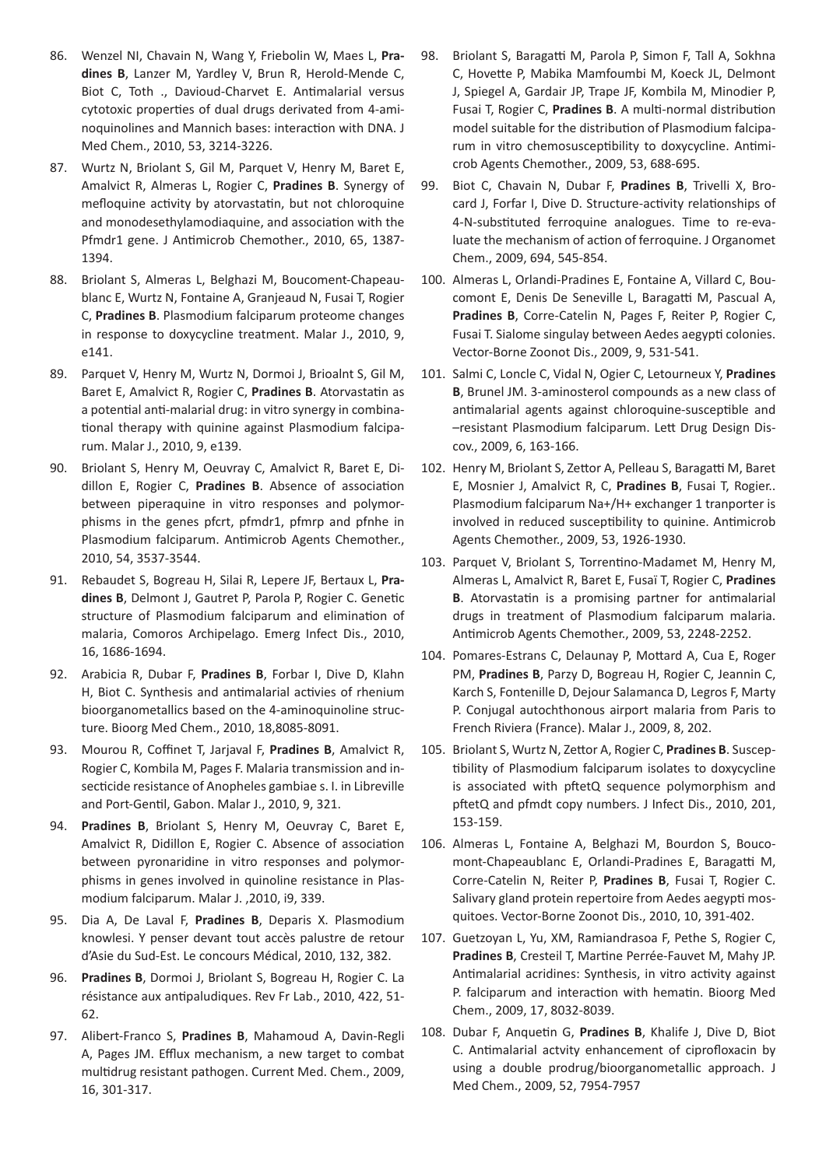- 86. Wenzel NI, Chavain N, Wang Y, Friebolin W, Maes L, **Pradines B**, Lanzer M, Yardley V, Brun R, Herold-Mende C, Biot C, Toth ., Davioud-Charvet E. Antimalarial versus cytotoxic properties of dual drugs derivated from 4-aminoquinolines and Mannich bases: interaction with DNA. J Med Chem., 2010, 53, 3214-3226.
- 87. Wurtz N, Briolant S, Gil M, Parquet V, Henry M, Baret E, Amalvict R, Almeras L, Rogier C, **Pradines B**. Synergy of mefloquine activity by atorvastatin, but not chloroquine and monodesethylamodiaquine, and association with the Pfmdr1 gene. J Antimicrob Chemother., 2010, 65, 1387- 1394.
- 88. Briolant S, Almeras L, Belghazi M, Boucoment-Chapeaublanc E, Wurtz N, Fontaine A, Granjeaud N, Fusai T, Rogier C, **Pradines B**. Plasmodium falciparum proteome changes in response to doxycycline treatment. Malar J., 2010, 9, e141.
- 89. Parquet V, Henry M, Wurtz N, Dormoi J, Brioalnt S, Gil M, Baret E, Amalvict R, Rogier C, **Pradines B**. Atorvastatin as a potential anti-malarial drug: in vitro synergy in combinational therapy with quinine against Plasmodium falciparum. Malar J., 2010, 9, e139.
- 90. Briolant S, Henry M, Oeuvray C, Amalvict R, Baret E, Didillon E, Rogier C, **Pradines B**. Absence of association between piperaquine in vitro responses and polymorphisms in the genes pfcrt, pfmdr1, pfmrp and pfnhe in Plasmodium falciparum. Antimicrob Agents Chemother., 2010, 54, 3537-3544.
- 91. Rebaudet S, Bogreau H, Silai R, Lepere JF, Bertaux L, **Pradines B**, Delmont J, Gautret P, Parola P, Rogier C. Genetic structure of Plasmodium falciparum and elimination of malaria, Comoros Archipelago. Emerg Infect Dis., 2010, 16, 1686-1694.
- 92. Arabicia R, Dubar F, **Pradines B**, Forbar I, Dive D, Klahn H, Biot C. Synthesis and antimalarial activies of rhenium bioorganometallics based on the 4-aminoquinoline structure. Bioorg Med Chem., 2010, 18,8085-8091.
- 93. Mourou R, Coffinet T, Jarjaval F, **Pradines B**, Amalvict R, Rogier C, Kombila M, Pages F. Malaria transmission and insecticide resistance of Anopheles gambiae s. I. in Libreville and Port-Gentil, Gabon. Malar J., 2010, 9, 321.
- 94. **Pradines B**, Briolant S, Henry M, Oeuvray C, Baret E, Amalvict R, Didillon E, Rogier C. Absence of association between pyronaridine in vitro responses and polymorphisms in genes involved in quinoline resistance in Plasmodium falciparum. Malar J. ,2010, i9, 339.
- 95. Dia A, De Laval F, **Pradines B**, Deparis X. Plasmodium knowlesi. Y penser devant tout accès palustre de retour d'Asie du Sud-Est. Le concours Médical, 2010, 132, 382.
- 96. **Pradines B**, Dormoi J, Briolant S, Bogreau H, Rogier C. La résistance aux antipaludiques. Rev Fr Lab., 2010, 422, 51- 62.
- 97. Alibert-Franco S, **Pradines B**, Mahamoud A, Davin-Regli A, Pages JM. Efflux mechanism, a new target to combat multidrug resistant pathogen. Current Med. Chem., 2009, 16, 301-317.
- 98. Briolant S, Baragatti M, Parola P, Simon F, Tall A, Sokhna C, Hovette P, Mabika Mamfoumbi M, Koeck JL, Delmont J, Spiegel A, Gardair JP, Trape JF, Kombila M, Minodier P, Fusai T, Rogier C, **Pradines B**. A multi-normal distribution model suitable for the distribution of Plasmodium falciparum in vitro chemosusceptibility to doxycycline. Antimicrob Agents Chemother., 2009, 53, 688-695.
- 99. Biot C, Chavain N, Dubar F, **Pradines B**, Trivelli X, Brocard J, Forfar I, Dive D. Structure-activity relationships of 4-N-substituted ferroquine analogues. Time to re-evaluate the mechanism of action of ferroquine. J Organomet Chem., 2009, 694, 545-854.
- 100. Almeras L, Orlandi-Pradines E, Fontaine A, Villard C, Boucomont E, Denis De Seneville L, Baragatti M, Pascual A, **Pradines B**, Corre-Catelin N, Pages F, Reiter P, Rogier C, Fusai T. Sialome singulay between Aedes aegypti colonies. Vector-Borne Zoonot Dis., 2009, 9, 531-541.
- 101. Salmi C, Loncle C, Vidal N, Ogier C, Letourneux Y, **Pradines B**, Brunel JM. 3-aminosterol compounds as a new class of antimalarial agents against chloroquine-susceptible and –resistant Plasmodium falciparum. Lett Drug Design Discov., 2009, 6, 163-166.
- 102. Henry M, Briolant S, Zettor A, Pelleau S, Baragatti M, Baret E, Mosnier J, Amalvict R, C, **Pradines B**, Fusai T, Rogier.. Plasmodium falciparum Na+/H+ exchanger 1 tranporter is involved in reduced susceptibility to quinine. Antimicrob Agents Chemother., 2009, 53, 1926-1930.
- 103. Parquet V, Briolant S, Torrentino-Madamet M, Henry M, Almeras L, Amalvict R, Baret E, Fusaï T, Rogier C, **Pradines B**. Atorvastatin is a promising partner for antimalarial drugs in treatment of Plasmodium falciparum malaria. Antimicrob Agents Chemother., 2009, 53, 2248-2252.
- 104. Pomares-Estrans C, Delaunay P, Mottard A, Cua E, Roger PM, **Pradines B**, Parzy D, Bogreau H, Rogier C, Jeannin C, Karch S, Fontenille D, Dejour Salamanca D, Legros F, Marty P. Conjugal autochthonous airport malaria from Paris to French Riviera (France). Malar J., 2009, 8, 202.
- 105. Briolant S, Wurtz N, Zettor A, Rogier C, **Pradines B**. Susceptibility of Plasmodium falciparum isolates to doxycycline is associated with pftetQ sequence polymorphism and pftetQ and pfmdt copy numbers. J Infect Dis., 2010, 201, 153-159.
- 106. Almeras L, Fontaine A, Belghazi M, Bourdon S, Boucomont-Chapeaublanc E, Orlandi-Pradines E, Baragatti M, Corre-Catelin N, Reiter P, **Pradines B**, Fusai T, Rogier C. Salivary gland protein repertoire from Aedes aegypti mosquitoes. Vector-Borne Zoonot Dis., 2010, 10, 391-402.
- 107. Guetzoyan L, Yu, XM, Ramiandrasoa F, Pethe S, Rogier C, **Pradines B**, Cresteil T, Martine Perrée-Fauvet M, Mahy JP. Antimalarial acridines: Synthesis, in vitro activity against P. falciparum and interaction with hematin. Bioorg Med Chem., 2009, 17, 8032-8039.
- 108. Dubar F, Anquetin G, **Pradines B**, Khalife J, Dive D, Biot C. Antimalarial actvity enhancement of ciprofloxacin by using a double prodrug/bioorganometallic approach. J Med Chem., 2009, 52, 7954-7957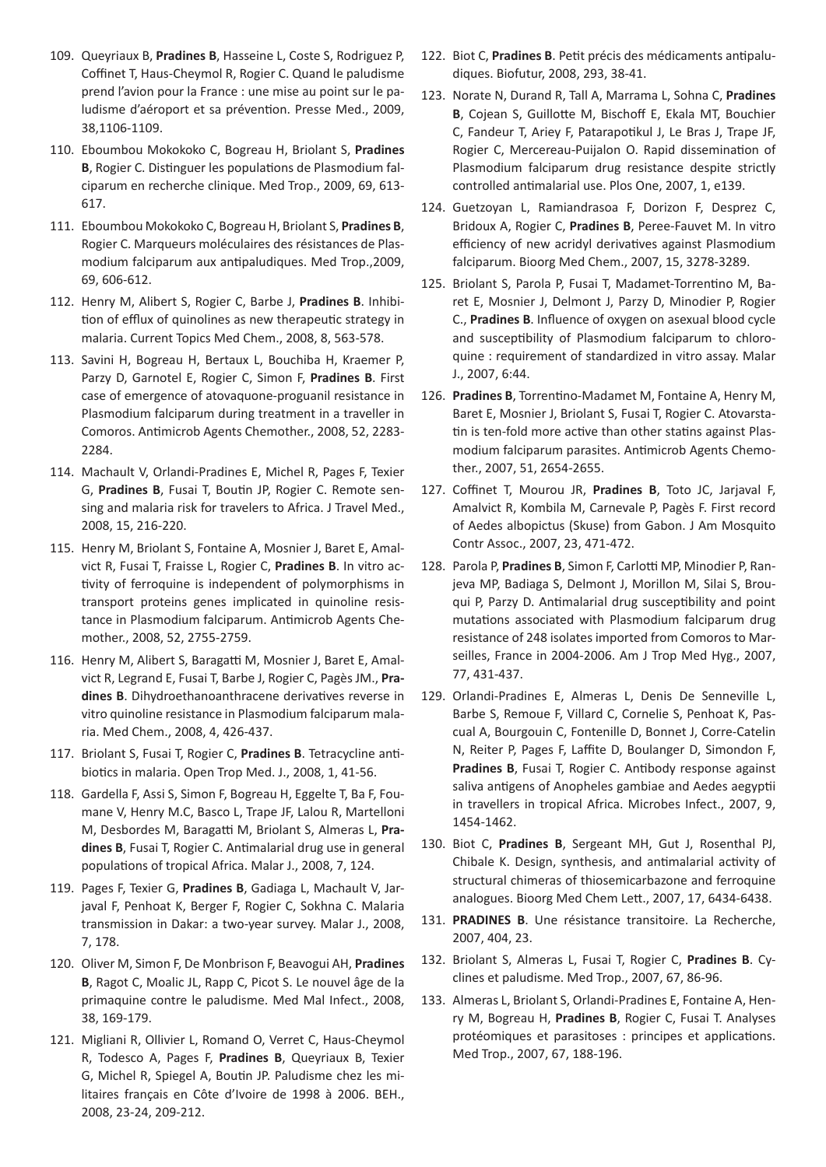- 109. Queyriaux B, **Pradines B**, Hasseine L, Coste S, Rodriguez P, Coffinet T, Haus-Cheymol R, Rogier C. Quand le paludisme prend l'avion pour la France : une mise au point sur le paludisme d'aéroport et sa prévention. Presse Med., 2009, 38,1106-1109.
- 110. Eboumbou Mokokoko C, Bogreau H, Briolant S, **Pradines B**, Rogier C. Distinguer les populations de Plasmodium falciparum en recherche clinique. Med Trop., 2009, 69, 613- 617.
- 111. Eboumbou Mokokoko C, Bogreau H, Briolant S, **Pradines B**, Rogier C. Marqueurs moléculaires des résistances de Plasmodium falciparum aux antipaludiques. Med Trop.,2009, 69, 606-612.
- 112. Henry M, Alibert S, Rogier C, Barbe J, **Pradines B**. Inhibition of efflux of quinolines as new therapeutic strategy in malaria. Current Topics Med Chem., 2008, 8, 563-578.
- 113. Savini H, Bogreau H, Bertaux L, Bouchiba H, Kraemer P, Parzy D, Garnotel E, Rogier C, Simon F, **Pradines B**. First case of emergence of atovaquone-proguanil resistance in Plasmodium falciparum during treatment in a traveller in Comoros. Antimicrob Agents Chemother., 2008, 52, 2283- 2284.
- 114. Machault V, Orlandi-Pradines E, Michel R, Pages F, Texier G, **Pradines B**, Fusai T, Boutin JP, Rogier C. Remote sensing and malaria risk for travelers to Africa. J Travel Med., 2008, 15, 216-220.
- 115. Henry M, Briolant S, Fontaine A, Mosnier J, Baret E, Amalvict R, Fusai T, Fraisse L, Rogier C, **Pradines B**. In vitro activity of ferroquine is independent of polymorphisms in transport proteins genes implicated in quinoline resistance in Plasmodium falciparum. Antimicrob Agents Chemother., 2008, 52, 2755-2759.
- 116. Henry M, Alibert S, Baragatti M, Mosnier J, Baret E, Amalvict R, Legrand E, Fusai T, Barbe J, Rogier C, Pagès JM., **Pradines B**. Dihydroethanoanthracene derivatives reverse in vitro quinoline resistance in Plasmodium falciparum malaria. Med Chem., 2008, 4, 426-437.
- 117. Briolant S, Fusai T, Rogier C, **Pradines B**. Tetracycline antibiotics in malaria. Open Trop Med. J., 2008, 1, 41-56.
- 118. Gardella F, Assi S, Simon F, Bogreau H, Eggelte T, Ba F, Foumane V, Henry M.C, Basco L, Trape JF, Lalou R, Martelloni M, Desbordes M, Baragatti M, Briolant S, Almeras L, **Pradines B**, Fusai T, Rogier C. Antimalarial drug use in general populations of tropical Africa. Malar J., 2008, 7, 124.
- 119. Pages F, Texier G, **Pradines B**, Gadiaga L, Machault V, Jarjaval F, Penhoat K, Berger F, Rogier C, Sokhna C. Malaria transmission in Dakar: a two-year survey. Malar J., 2008, 7, 178.
- 120. Oliver M, Simon F, De Monbrison F, Beavogui AH, **Pradines B**, Ragot C, Moalic JL, Rapp C, Picot S. Le nouvel âge de la primaquine contre le paludisme. Med Mal Infect., 2008, 38, 169-179.
- 121. Migliani R, Ollivier L, Romand O, Verret C, Haus-Cheymol R, Todesco A, Pages F, **Pradines B**, Queyriaux B, Texier G, Michel R, Spiegel A, Boutin JP. Paludisme chez les militaires français en Côte d'Ivoire de 1998 à 2006. BEH., 2008, 23-24, 209-212.
- 122. Biot C, **Pradines B**. Petit précis des médicaments antipaludiques. Biofutur, 2008, 293, 38-41.
- 123. Norate N, Durand R, Tall A, Marrama L, Sohna C, **Pradines B**, Cojean S, Guillotte M, Bischoff E, Ekala MT, Bouchier C, Fandeur T, Ariey F, Patarapotikul J, Le Bras J, Trape JF, Rogier C, Mercereau-Puijalon O. Rapid dissemination of Plasmodium falciparum drug resistance despite strictly controlled antimalarial use. Plos One, 2007, 1, e139.
- 124. Guetzoyan L, Ramiandrasoa F, Dorizon F, Desprez C, Bridoux A, Rogier C, **Pradines B**, Peree-Fauvet M. In vitro efficiency of new acridyl derivatives against Plasmodium falciparum. Bioorg Med Chem., 2007, 15, 3278-3289.
- 125. Briolant S, Parola P, Fusai T, Madamet-Torrentino M, Baret E, Mosnier J, Delmont J, Parzy D, Minodier P, Rogier C., **Pradines B**. Influence of oxygen on asexual blood cycle and susceptibility of Plasmodium falciparum to chloroquine : requirement of standardized in vitro assay. Malar J., 2007, 6:44.
- 126. **Pradines B**, Torrentino-Madamet M, Fontaine A, Henry M, Baret E, Mosnier J, Briolant S, Fusai T, Rogier C. Atovarstatin is ten-fold more active than other statins against Plasmodium falciparum parasites. Antimicrob Agents Chemother., 2007, 51, 2654-2655.
- 127. Coffinet T, Mourou JR, **Pradines B**, Toto JC, Jarjaval F, Amalvict R, Kombila M, Carnevale P, Pagès F. First record of Aedes albopictus (Skuse) from Gabon. J Am Mosquito Contr Assoc., 2007, 23, 471-472.
- 128. Parola P, **Pradines B**, Simon F, Carlotti MP, Minodier P, Ranjeva MP, Badiaga S, Delmont J, Morillon M, Silai S, Brouqui P, Parzy D. Antimalarial drug susceptibility and point mutations associated with Plasmodium falciparum drug resistance of 248 isolates imported from Comoros to Marseilles, France in 2004-2006. Am J Trop Med Hyg., 2007, 77, 431-437.
- 129. Orlandi-Pradines E, Almeras L, Denis De Senneville L, Barbe S, Remoue F, Villard C, Cornelie S, Penhoat K, Pascual A, Bourgouin C, Fontenille D, Bonnet J, Corre-Catelin N, Reiter P, Pages F, Laffite D, Boulanger D, Simondon F, **Pradines B**, Fusai T, Rogier C. Antibody response against saliva antigens of Anopheles gambiae and Aedes aegyptii in travellers in tropical Africa. Microbes Infect., 2007, 9, 1454-1462.
- 130. Biot C, **Pradines B**, Sergeant MH, Gut J, Rosenthal PJ, Chibale K. Design, synthesis, and antimalarial activity of structural chimeras of thiosemicarbazone and ferroquine analogues. Bioorg Med Chem Lett., 2007, 17, 6434-6438.
- 131. **PRADINES B**. Une résistance transitoire. La Recherche, 2007, 404, 23.
- 132. Briolant S, Almeras L, Fusai T, Rogier C, **Pradines B**. Cyclines et paludisme. Med Trop., 2007, 67, 86-96.
- 133. Almeras L, Briolant S, Orlandi-Pradines E, Fontaine A, Henry M, Bogreau H, **Pradines B**, Rogier C, Fusai T. Analyses protéomiques et parasitoses : principes et applications. Med Trop., 2007, 67, 188-196.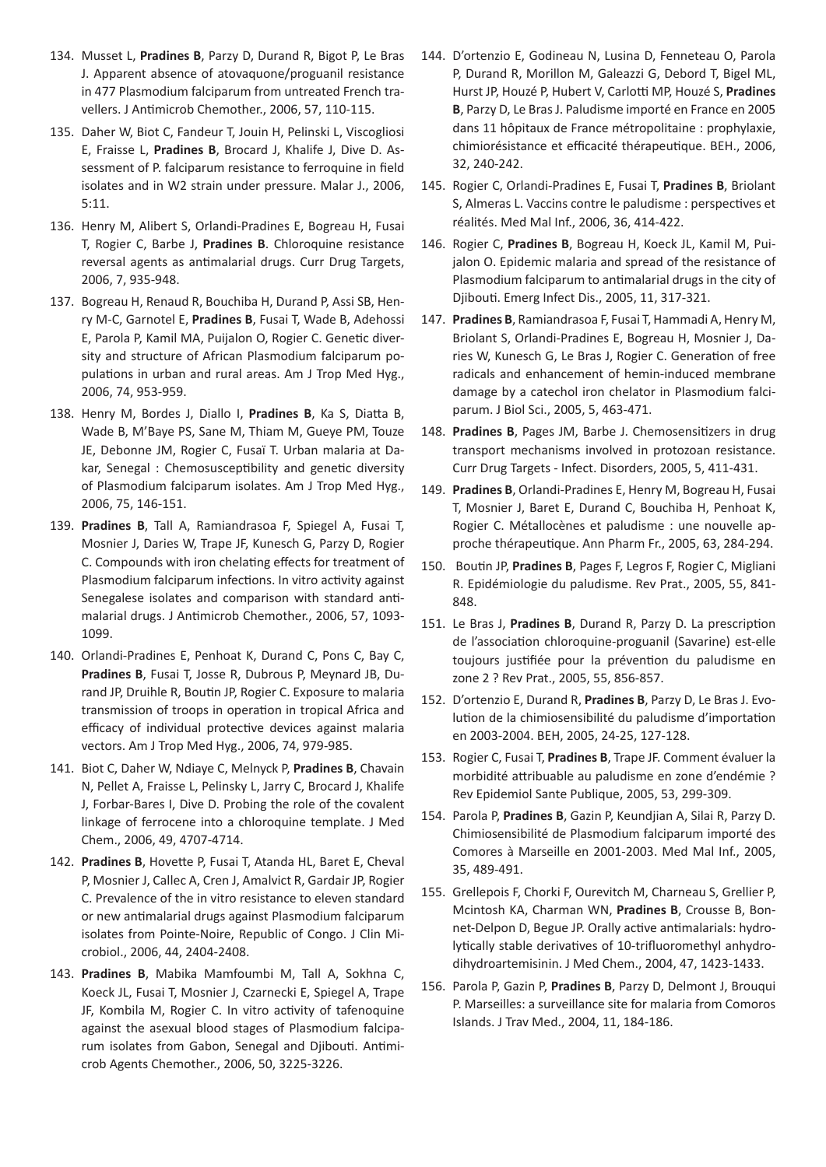- 134. Musset L, **Pradines B**, Parzy D, Durand R, Bigot P, Le Bras J. Apparent absence of atovaquone/proguanil resistance in 477 Plasmodium falciparum from untreated French travellers. J Antimicrob Chemother., 2006, 57, 110-115.
- 135. Daher W, Biot C, Fandeur T, Jouin H, Pelinski L, Viscogliosi E, Fraisse L, **Pradines B**, Brocard J, Khalife J, Dive D. Assessment of P. falciparum resistance to ferroquine in field isolates and in W2 strain under pressure. Malar J., 2006, 5:11.
- 136. Henry M, Alibert S, Orlandi-Pradines E, Bogreau H, Fusai T, Rogier C, Barbe J, **Pradines B**. Chloroquine resistance reversal agents as antimalarial drugs. Curr Drug Targets, 2006, 7, 935-948.
- 137. Bogreau H, Renaud R, Bouchiba H, Durand P, Assi SB, Henry M-C, Garnotel E, **Pradines B**, Fusai T, Wade B, Adehossi E, Parola P, Kamil MA, Puijalon O, Rogier C. Genetic diversity and structure of African Plasmodium falciparum populations in urban and rural areas. Am J Trop Med Hyg., 2006, 74, 953-959.
- 138. Henry M, Bordes J, Diallo I, **Pradines B**, Ka S, Diatta B, Wade B, M'Baye PS, Sane M, Thiam M, Gueye PM, Touze JE, Debonne JM, Rogier C, Fusaï T. Urban malaria at Dakar, Senegal : Chemosusceptibility and genetic diversity of Plasmodium falciparum isolates. Am J Trop Med Hyg., 2006, 75, 146-151.
- 139. **Pradines B**, Tall A, Ramiandrasoa F, Spiegel A, Fusai T, Mosnier J, Daries W, Trape JF, Kunesch G, Parzy D, Rogier C. Compounds with iron chelating effects for treatment of Plasmodium falciparum infections. In vitro activity against Senegalese isolates and comparison with standard antimalarial drugs. J Antimicrob Chemother., 2006, 57, 1093- 1099.
- 140. Orlandi-Pradines E, Penhoat K, Durand C, Pons C, Bay C, **Pradines B**, Fusai T, Josse R, Dubrous P, Meynard JB, Durand JP, Druihle R, Boutin JP, Rogier C. Exposure to malaria transmission of troops in operation in tropical Africa and efficacy of individual protective devices against malaria vectors. Am J Trop Med Hyg., 2006, 74, 979-985.
- 141. Biot C, Daher W, Ndiaye C, Melnyck P, **Pradines B**, Chavain N, Pellet A, Fraisse L, Pelinsky L, Jarry C, Brocard J, Khalife J, Forbar-Bares I, Dive D. Probing the role of the covalent linkage of ferrocene into a chloroquine template. J Med Chem., 2006, 49, 4707-4714.
- 142. **Pradines B**, Hovette P, Fusai T, Atanda HL, Baret E, Cheval P, Mosnier J, Callec A, Cren J, Amalvict R, Gardair JP, Rogier C. Prevalence of the in vitro resistance to eleven standard or new antimalarial drugs against Plasmodium falciparum isolates from Pointe-Noire, Republic of Congo. J Clin Microbiol., 2006, 44, 2404-2408.
- 143. **Pradines B**, Mabika Mamfoumbi M, Tall A, Sokhna C, Koeck JL, Fusai T, Mosnier J, Czarnecki E, Spiegel A, Trape JF, Kombila M, Rogier C. In vitro activity of tafenoquine against the asexual blood stages of Plasmodium falciparum isolates from Gabon, Senegal and Djibouti. Antimicrob Agents Chemother., 2006, 50, 3225-3226.
- 144. D'ortenzio E, Godineau N, Lusina D, Fenneteau O, Parola P, Durand R, Morillon M, Galeazzi G, Debord T, Bigel ML, Hurst JP, Houzé P, Hubert V, Carlotti MP, Houzé S, **Pradines B**, Parzy D, Le Bras J. Paludisme importé en France en 2005 dans 11 hôpitaux de France métropolitaine : prophylaxie, chimiorésistance et efficacité thérapeutique. BEH., 2006, 32, 240-242.
- 145. Rogier C, Orlandi-Pradines E, Fusai T, **Pradines B**, Briolant S, Almeras L. Vaccins contre le paludisme : perspectives et réalités. Med Mal Inf., 2006, 36, 414-422.
- 146. Rogier C, **Pradines B**, Bogreau H, Koeck JL, Kamil M, Puijalon O. Epidemic malaria and spread of the resistance of Plasmodium falciparum to antimalarial drugs in the city of Djibouti. Emerg Infect Dis., 2005, 11, 317-321.
- 147. **Pradines B**, Ramiandrasoa F, Fusai T, Hammadi A, Henry M, Briolant S, Orlandi-Pradines E, Bogreau H, Mosnier J, Daries W, Kunesch G, Le Bras J, Rogier C. Generation of free radicals and enhancement of hemin-induced membrane damage by a catechol iron chelator in Plasmodium falciparum. J Biol Sci., 2005, 5, 463-471.
- 148. **Pradines B**, Pages JM, Barbe J. Chemosensitizers in drug transport mechanisms involved in protozoan resistance. Curr Drug Targets - Infect. Disorders, 2005, 5, 411-431.
- 149. **Pradines B**, Orlandi-Pradines E, Henry M, Bogreau H, Fusai T, Mosnier J, Baret E, Durand C, Bouchiba H, Penhoat K, Rogier C. Métallocènes et paludisme : une nouvelle approche thérapeutique. Ann Pharm Fr., 2005, 63, 284-294.
- 150. Boutin JP, **Pradines B**, Pages F, Legros F, Rogier C, Migliani R. Epidémiologie du paludisme. Rev Prat., 2005, 55, 841- 848.
- 151. Le Bras J, **Pradines B**, Durand R, Parzy D. La prescription de l'association chloroquine-proguanil (Savarine) est-elle toujours justifiée pour la prévention du paludisme en zone 2 ? Rev Prat., 2005, 55, 856-857.
- 152. D'ortenzio E, Durand R, **Pradines B**, Parzy D, Le Bras J. Evolution de la chimiosensibilité du paludisme d'importation en 2003-2004. BEH, 2005, 24-25, 127-128.
- 153. Rogier C, Fusai T, **Pradines B**, Trape JF. Comment évaluer la morbidité attribuable au paludisme en zone d'endémie ? Rev Epidemiol Sante Publique, 2005, 53, 299-309.
- 154. Parola P, **Pradines B**, Gazin P, Keundjian A, Silai R, Parzy D. Chimiosensibilité de Plasmodium falciparum importé des Comores à Marseille en 2001-2003. Med Mal Inf., 2005, 35, 489-491.
- 155. Grellepois F, Chorki F, Ourevitch M, Charneau S, Grellier P, Mcintosh KA, Charman WN, **Pradines B**, Crousse B, Bonnet-Delpon D, Begue JP. Orally active antimalarials: hydrolytically stable derivatives of 10-trifluoromethyl anhydrodihydroartemisinin. J Med Chem., 2004, 47, 1423-1433.
- 156. Parola P, Gazin P, **Pradines B**, Parzy D, Delmont J, Brouqui P. Marseilles: a surveillance site for malaria from Comoros Islands. J Trav Med., 2004, 11, 184-186.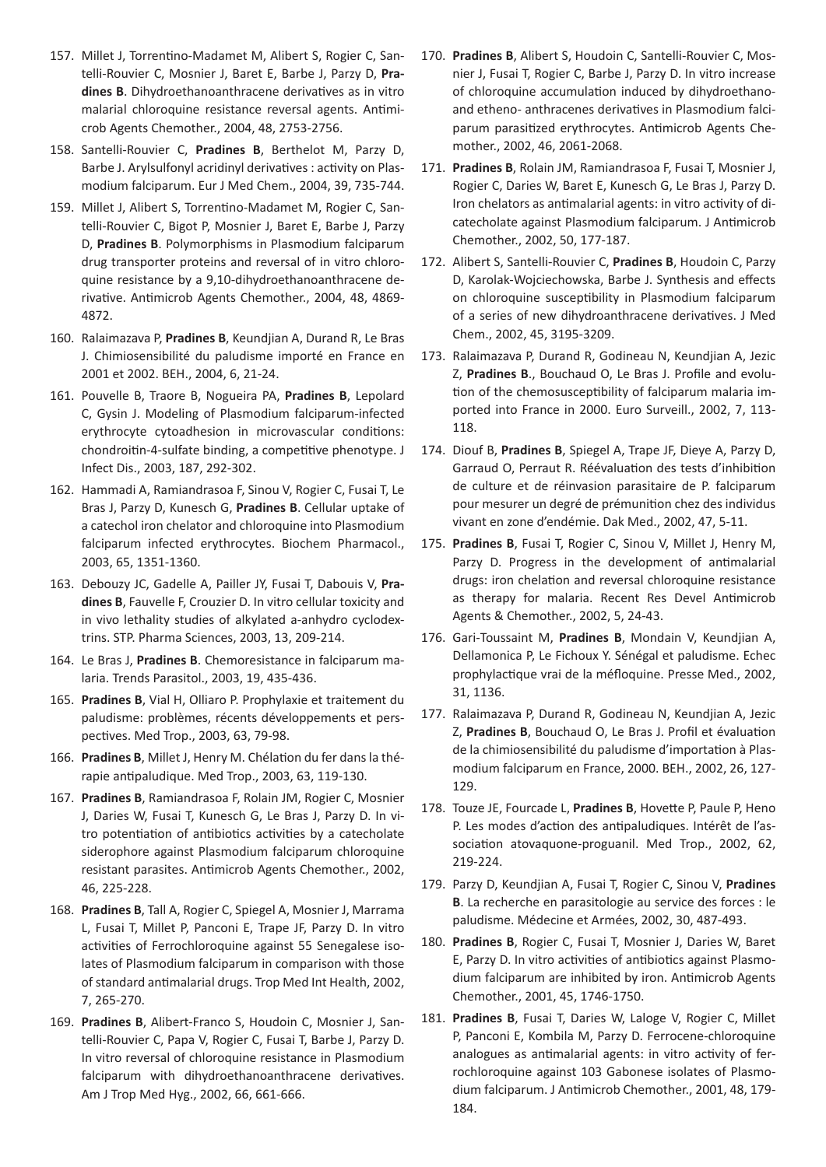- 157. Millet J, Torrentino-Madamet M, Alibert S, Rogier C, Santelli-Rouvier C, Mosnier J, Baret E, Barbe J, Parzy D, **Pradines B**. Dihydroethanoanthracene derivatives as in vitro malarial chloroquine resistance reversal agents. Antimicrob Agents Chemother., 2004, 48, 2753-2756.
- 158. Santelli-Rouvier C, **Pradines B**, Berthelot M, Parzy D, Barbe J. Arylsulfonyl acridinyl derivatives : activity on Plasmodium falciparum. Eur J Med Chem., 2004, 39, 735-744.
- 159. Millet J, Alibert S, Torrentino-Madamet M, Rogier C, Santelli-Rouvier C, Bigot P, Mosnier J, Baret E, Barbe J, Parzy D, **Pradines B**. Polymorphisms in Plasmodium falciparum drug transporter proteins and reversal of in vitro chloroquine resistance by a 9,10-dihydroethanoanthracene derivative. Antimicrob Agents Chemother., 2004, 48, 4869- 4872.
- 160. Ralaimazava P, **Pradines B**, Keundjian A, Durand R, Le Bras J. Chimiosensibilité du paludisme importé en France en 2001 et 2002. BEH., 2004, 6, 21-24.
- 161. Pouvelle B, Traore B, Nogueira PA, **Pradines B**, Lepolard C, Gysin J. Modeling of Plasmodium falciparum-infected erythrocyte cytoadhesion in microvascular conditions: chondroitin-4-sulfate binding, a competitive phenotype. J Infect Dis., 2003, 187, 292-302.
- 162. Hammadi A, Ramiandrasoa F, Sinou V, Rogier C, Fusai T, Le Bras J, Parzy D, Kunesch G, **Pradines B**. Cellular uptake of a catechol iron chelator and chloroquine into Plasmodium falciparum infected erythrocytes. Biochem Pharmacol., 2003, 65, 1351-1360.
- 163. Debouzy JC, Gadelle A, Pailler JY, Fusai T, Dabouis V, **Pradines B**, Fauvelle F, Crouzier D. In vitro cellular toxicity and in vivo lethality studies of alkylated a-anhydro cyclodextrins. STP. Pharma Sciences, 2003, 13, 209-214.
- 164. Le Bras J, **Pradines B**. Chemoresistance in falciparum malaria. Trends Parasitol., 2003, 19, 435-436.
- 165. **Pradines B**, Vial H, Olliaro P. Prophylaxie et traitement du paludisme: problèmes, récents développements et perspectives. Med Trop., 2003, 63, 79-98.
- 166. **Pradines B**, Millet J, Henry M. Chélation du fer dans la thérapie antipaludique. Med Trop., 2003, 63, 119-130.
- 167. **Pradines B**, Ramiandrasoa F, Rolain JM, Rogier C, Mosnier J, Daries W, Fusai T, Kunesch G, Le Bras J, Parzy D. In vitro potentiation of antibiotics activities by a catecholate siderophore against Plasmodium falciparum chloroquine resistant parasites. Antimicrob Agents Chemother., 2002, 46, 225-228.
- 168. **Pradines B**, Tall A, Rogier C, Spiegel A, Mosnier J, Marrama L, Fusai T, Millet P, Panconi E, Trape JF, Parzy D. In vitro activities of Ferrochloroquine against 55 Senegalese isolates of Plasmodium falciparum in comparison with those of standard antimalarial drugs. Trop Med Int Health, 2002, 7, 265-270.
- 169. **Pradines B**, Alibert-Franco S, Houdoin C, Mosnier J, Santelli-Rouvier C, Papa V, Rogier C, Fusai T, Barbe J, Parzy D. In vitro reversal of chloroquine resistance in Plasmodium falciparum with dihydroethanoanthracene derivatives. Am J Trop Med Hyg., 2002, 66, 661-666.
- 170. **Pradines B**, Alibert S, Houdoin C, Santelli-Rouvier C, Mosnier J, Fusai T, Rogier C, Barbe J, Parzy D. In vitro increase of chloroquine accumulation induced by dihydroethanoand etheno- anthracenes derivatives in Plasmodium falciparum parasitized erythrocytes. Antimicrob Agents Chemother., 2002, 46, 2061-2068.
- 171. **Pradines B**, Rolain JM, Ramiandrasoa F, Fusai T, Mosnier J, Rogier C, Daries W, Baret E, Kunesch G, Le Bras J, Parzy D. Iron chelators as antimalarial agents: in vitro activity of dicatecholate against Plasmodium falciparum. J Antimicrob Chemother., 2002, 50, 177-187.
- 172. Alibert S, Santelli-Rouvier C, **Pradines B**, Houdoin C, Parzy D, Karolak-Wojciechowska, Barbe J. Synthesis and effects on chloroquine susceptibility in Plasmodium falciparum of a series of new dihydroanthracene derivatives. J Med Chem., 2002, 45, 3195-3209.
- 173. Ralaimazava P, Durand R, Godineau N, Keundjian A, Jezic Z, **Pradines B**., Bouchaud O, Le Bras J. Profile and evolution of the chemosusceptibility of falciparum malaria imported into France in 2000. Euro Surveill., 2002, 7, 113- 118.
- 174. Diouf B, **Pradines B**, Spiegel A, Trape JF, Dieye A, Parzy D, Garraud O, Perraut R. Réévaluation des tests d'inhibition de culture et de réinvasion parasitaire de P. falciparum pour mesurer un degré de prémunition chez des individus vivant en zone d'endémie. Dak Med., 2002, 47, 5-11.
- 175. **Pradines B**, Fusai T, Rogier C, Sinou V, Millet J, Henry M, Parzy D. Progress in the development of antimalarial drugs: iron chelation and reversal chloroquine resistance as therapy for malaria. Recent Res Devel Antimicrob Agents & Chemother., 2002, 5, 24-43.
- 176. Gari-Toussaint M, **Pradines B**, Mondain V, Keundjian A, Dellamonica P, Le Fichoux Y. Sénégal et paludisme. Echec prophylactique vrai de la méfloquine. Presse Med., 2002, 31, 1136.
- 177. Ralaimazava P, Durand R, Godineau N, Keundjian A, Jezic Z, **Pradines B**, Bouchaud O, Le Bras J. Profil et évaluation de la chimiosensibilité du paludisme d'importation à Plasmodium falciparum en France, 2000. BEH., 2002, 26, 127- 129.
- 178. Touze JE, Fourcade L, **Pradines B**, Hovette P, Paule P, Heno P. Les modes d'action des antipaludiques. Intérêt de l'association atovaquone-proguanil. Med Trop., 2002, 62, 219-224.
- 179. Parzy D, Keundjian A, Fusai T, Rogier C, Sinou V, **Pradines B**. La recherche en parasitologie au service des forces : le paludisme. Médecine et Armées, 2002, 30, 487-493.
- 180. **Pradines B**, Rogier C, Fusai T, Mosnier J, Daries W, Baret E, Parzy D. In vitro activities of antibiotics against Plasmodium falciparum are inhibited by iron. Antimicrob Agents Chemother., 2001, 45, 1746-1750.
- 181. **Pradines B**, Fusai T, Daries W, Laloge V, Rogier C, Millet P, Panconi E, Kombila M, Parzy D. Ferrocene-chloroquine analogues as antimalarial agents: in vitro activity of ferrochloroquine against 103 Gabonese isolates of Plasmodium falciparum. J Antimicrob Chemother., 2001, 48, 179- 184.